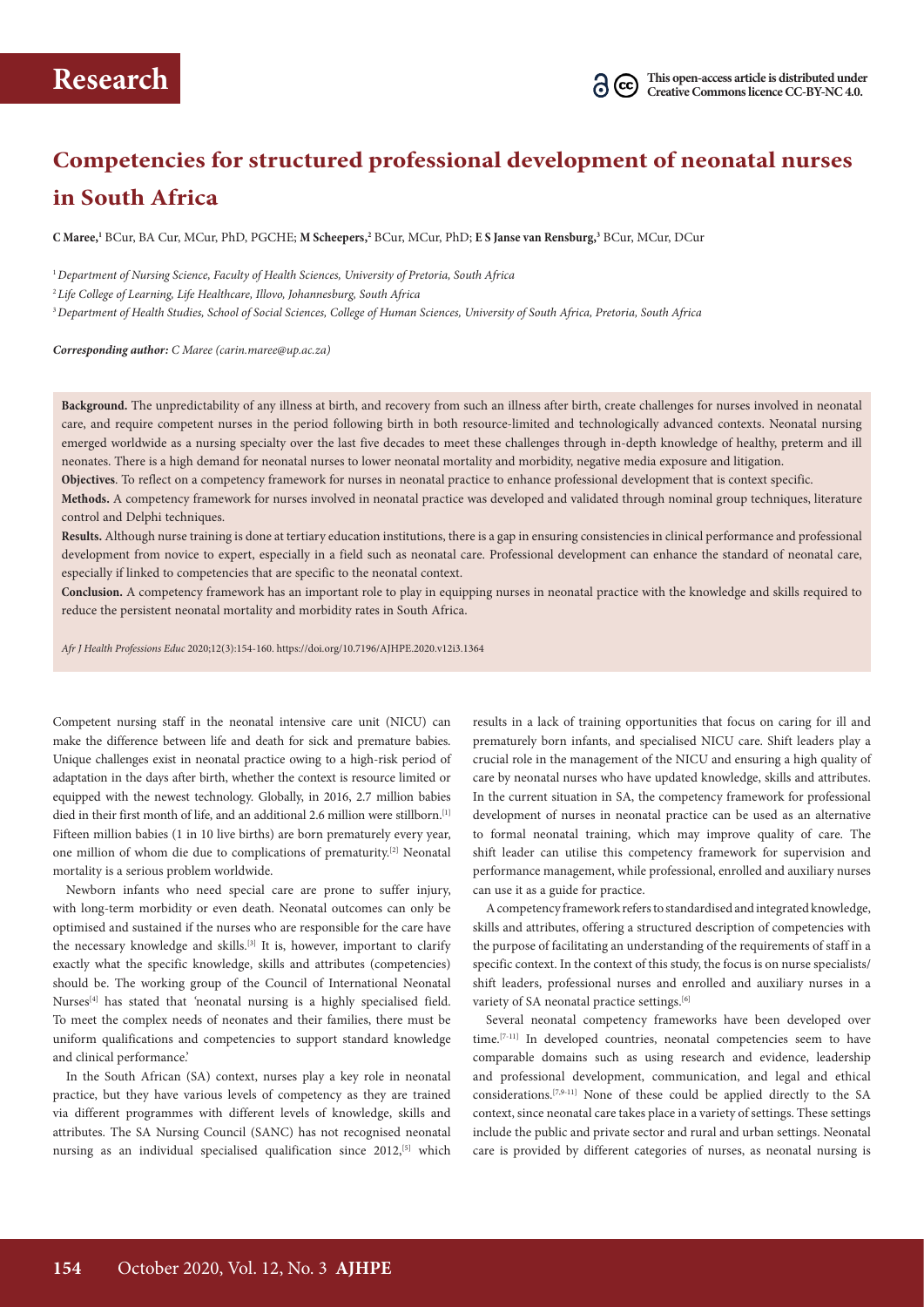# **Competencies for structured professional development of neonatal nurses in South Africa**

**C Maree,1** BCur, BA Cur, MCur, PhD, PGCHE; **M Scheepers,2** BCur, MCur, PhD; **E S Janse van Rensburg,3** BCur, MCur, DCur

<sup>1</sup>*Department of Nursing Science, Faculty of Health Sciences, University of Pretoria, South Africa*

<sup>2</sup> *Life College of Learning, Life Healthcare, Illovo, Johannesburg, South Africa*

<sup>3</sup>*Department of Health Studies, School of Social Sciences, College of Human Sciences, University of South Africa, Pretoria, South Africa*

*Corresponding author: C Maree (carin.maree@up.ac.za)* 

**Background.** The unpredictability of any illness at birth, and recovery from such an illness after birth, create challenges for nurses involved in neonatal care, and require competent nurses in the period following birth in both resource-limited and technologically advanced contexts. Neonatal nursing emerged worldwide as a nursing specialty over the last five decades to meet these challenges through in-depth knowledge of healthy, preterm and ill neonates. There is a high demand for neonatal nurses to lower neonatal mortality and morbidity, negative media exposure and litigation.

**Objectives**. To reflect on a competency framework for nurses in neonatal practice to enhance professional development that is context specific.

**Methods.** A competency framework for nurses involved in neonatal practice was developed and validated through nominal group techniques, literature control and Delphi techniques.

**Results.** Although nurse training is done at tertiary education institutions, there is a gap in ensuring consistencies in clinical performance and professional development from novice to expert, especially in a field such as neonatal care. Professional development can enhance the standard of neonatal care, especially if linked to competencies that are specific to the neonatal context.

**Conclusion.** A competency framework has an important role to play in equipping nurses in neonatal practice with the knowledge and skills required to reduce the persistent neonatal mortality and morbidity rates in South Africa.

*Afr J Health Professions Educ* 2020;12(3):154-160. https://doi.org/10.7196/AJHPE.2020.v12i3.1364

Competent nursing staff in the neonatal intensive care unit (NICU) can make the difference between life and death for sick and premature babies. Unique challenges exist in neonatal practice owing to a high-risk period of adaptation in the days after birth, whether the context is resource limited or equipped with the newest technology. Globally, in 2016, 2.7 million babies died in their first month of life, and an additional 2.6 million were stillborn.<sup>[1]</sup> Fifteen million babies (1 in 10 live births) are born prematurely every year, one million of whom die due to complications of prematurity.[2] Neonatal mortality is a serious problem worldwide.

Newborn infants who need special care are prone to suffer injury, with long-term morbidity or even death. Neonatal outcomes can only be optimised and sustained if the nurses who are responsible for the care have the necessary knowledge and skills.<sup>[3]</sup> It is, however, important to clarify exactly what the specific knowledge, skills and attributes (competencies) should be. The working group of the Council of International Neonatal Nurses<sup>[4]</sup> has stated that 'neonatal nursing is a highly specialised field. To meet the complex needs of neonates and their families, there must be uniform qualifications and competencies to support standard knowledge and clinical performance.'

In the South African (SA) context, nurses play a key role in neonatal practice, but they have various levels of competency as they are trained via different programmes with different levels of knowledge, skills and attributes. The SA Nursing Council (SANC) has not recognised neonatal nursing as an individual specialised qualification since 2012,<sup>[5]</sup> which

results in a lack of training opportunities that focus on caring for ill and prematurely born infants, and specialised NICU care. Shift leaders play a crucial role in the management of the NICU and ensuring a high quality of care by neonatal nurses who have updated knowledge, skills and attributes. In the current situation in SA, the competency framework for professional development of nurses in neonatal practice can be used as an alternative to formal neonatal training, which may improve quality of care. The shift leader can utilise this competency framework for supervision and performance management, while professional, enrolled and auxiliary nurses can use it as a guide for practice.

A competency framework refers to standardised and integrated knowledge, skills and attributes, offering a structured description of competencies with the purpose of facilitating an understanding of the requirements of staff in a specific context. In the context of this study, the focus is on nurse specialists/ shift leaders, professional nurses and enrolled and auxiliary nurses in a variety of SA neonatal practice settings.<sup>[6]</sup>

Several neonatal competency frameworks have been developed over time.<sup>[7-11]</sup> In developed countries, neonatal competencies seem to have comparable domains such as using research and evidence, leadership and professional development, communication, and legal and ethical considerations.[7,9-11] None of these could be applied directly to the SA context, since neonatal care takes place in a variety of settings. These settings include the public and private sector and rural and urban settings. Neonatal care is provided by different categories of nurses, as neonatal nursing is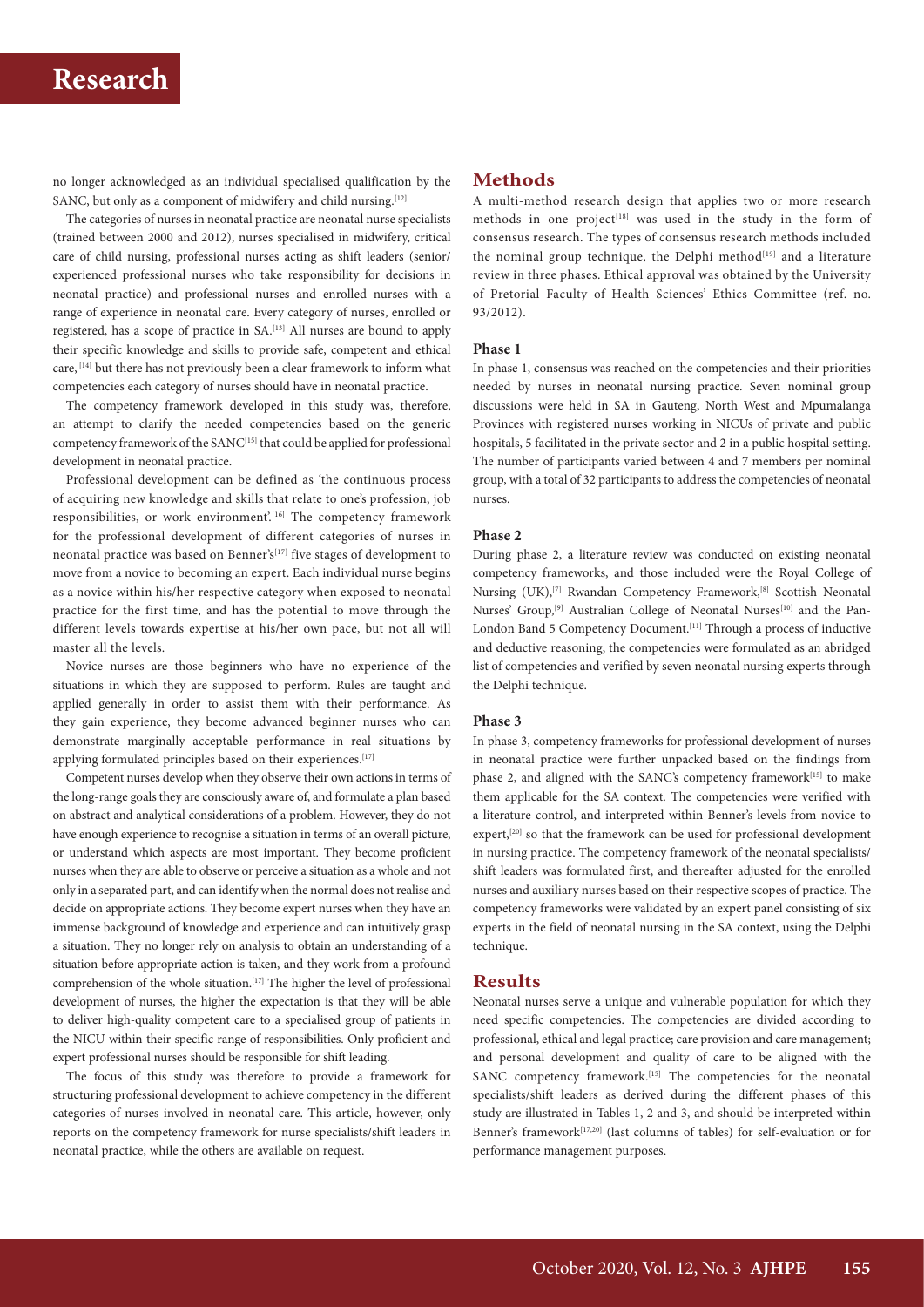# **Research**

no longer acknowledged as an individual specialised qualification by the SANC, but only as a component of midwifery and child nursing.<sup>[12]</sup>

The categories of nurses in neonatal practice are neonatal nurse specialists (trained between 2000 and 2012), nurses specialised in midwifery, critical care of child nursing, professional nurses acting as shift leaders (senior/ experienced professional nurses who take responsibility for decisions in neonatal practice) and professional nurses and enrolled nurses with a range of experience in neonatal care. Every category of nurses, enrolled or registered, has a scope of practice in SA.[13] All nurses are bound to apply their specific knowledge and skills to provide safe, competent and ethical care, [14] but there has not previously been a clear framework to inform what competencies each category of nurses should have in neonatal practice.

The competency framework developed in this study was, therefore, an attempt to clarify the needed competencies based on the generic competency framework of the SANC<sup>[15]</sup> that could be applied for professional development in neonatal practice.

Professional development can be defined as 'the continuous process of acquiring new knowledge and skills that relate to one's profession, job responsibilities, or work environment'.<sup>[16]</sup> The competency framework for the professional development of different categories of nurses in neonatal practice was based on Benner's<sup>[17]</sup> five stages of development to move from a novice to becoming an expert. Each individual nurse begins as a novice within his/her respective category when exposed to neonatal practice for the first time, and has the potential to move through the different levels towards expertise at his/her own pace, but not all will master all the levels.

Novice nurses are those beginners who have no experience of the situations in which they are supposed to perform. Rules are taught and applied generally in order to assist them with their performance. As they gain experience, they become advanced beginner nurses who can demonstrate marginally acceptable performance in real situations by applying formulated principles based on their experiences.<sup>[17]</sup>

Competent nurses develop when they observe their own actions in terms of the long-range goals they are consciously aware of, and formulate a plan based on abstract and analytical considerations of a problem. However, they do not have enough experience to recognise a situation in terms of an overall picture, or understand which aspects are most important. They become proficient nurses when they are able to observe or perceive a situation as a whole and not only in a separated part, and can identify when the normal does not realise and decide on appropriate actions. They become expert nurses when they have an immense background of knowledge and experience and can intuitively grasp a situation. They no longer rely on analysis to obtain an understanding of a situation before appropriate action is taken, and they work from a profound comprehension of the whole situation.[17] The higher the level of professional development of nurses, the higher the expectation is that they will be able to deliver high-quality competent care to a specialised group of patients in the NICU within their specific range of responsibilities. Only proficient and expert professional nurses should be responsible for shift leading.

The focus of this study was therefore to provide a framework for structuring professional development to achieve competency in the different categories of nurses involved in neonatal care. This article, however, only reports on the competency framework for nurse specialists/shift leaders in neonatal practice, while the others are available on request.

## **Methods**

A multi-method research design that applies two or more research methods in one project<sup>[18]</sup> was used in the study in the form of consensus research. The types of consensus research methods included the nominal group technique, the Delphi method<sup>[19]</sup> and a literature review in three phases. Ethical approval was obtained by the University of Pretorial Faculty of Health Sciences' Ethics Committee (ref. no. 93/2012).

#### **Phase 1**

In phase 1, consensus was reached on the competencies and their priorities needed by nurses in neonatal nursing practice. Seven nominal group discussions were held in SA in Gauteng, North West and Mpumalanga Provinces with registered nurses working in NICUs of private and public hospitals, 5 facilitated in the private sector and 2 in a public hospital setting. The number of participants varied between 4 and 7 members per nominal group, with a total of 32 participants to address the competencies of neonatal nurses.

#### **Phase 2**

During phase 2, a literature review was conducted on existing neonatal competency frameworks, and those included were the Royal College of Nursing (UK),<sup>[7]</sup> Rwandan Competency Framework,<sup>[8]</sup> Scottish Neonatal Nurses' Group,<sup>[9]</sup> Australian College of Neonatal Nurses<sup>[10]</sup> and the Pan-London Band 5 Competency Document.<sup>[11]</sup> Through a process of inductive and deductive reasoning, the competencies were formulated as an abridged list of competencies and verified by seven neonatal nursing experts through the Delphi technique.

#### **Phase 3**

In phase 3, competency frameworks for professional development of nurses in neonatal practice were further unpacked based on the findings from phase 2, and aligned with the SANC's competency framework<sup>[15]</sup> to make them applicable for the SA context. The competencies were verified with a literature control, and interpreted within Benner's levels from novice to expert,<sup>[20]</sup> so that the framework can be used for professional development in nursing practice. The competency framework of the neonatal specialists/ shift leaders was formulated first, and thereafter adjusted for the enrolled nurses and auxiliary nurses based on their respective scopes of practice. The competency frameworks were validated by an expert panel consisting of six experts in the field of neonatal nursing in the SA context, using the Delphi technique.

#### **Results**

Neonatal nurses serve a unique and vulnerable population for which they need specific competencies. The competencies are divided according to professional, ethical and legal practice; care provision and care management; and personal development and quality of care to be aligned with the SANC competency framework.<sup>[15]</sup> The competencies for the neonatal specialists/shift leaders as derived during the different phases of this study are illustrated in Tables 1, 2 and 3, and should be interpreted within Benner's framework<sup>[17,20]</sup> (last columns of tables) for self-evaluation or for performance management purposes.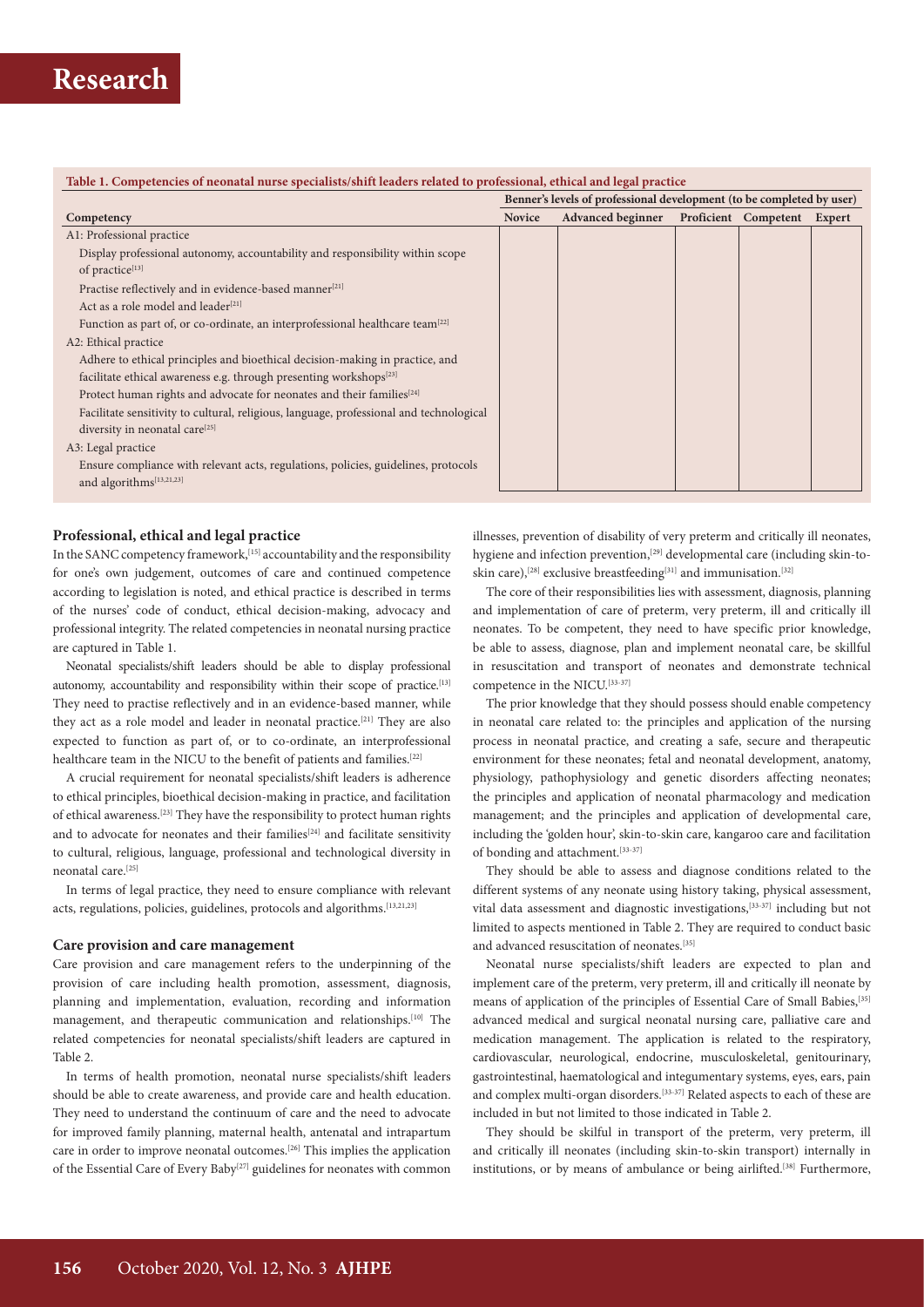#### **Table 1. Competencies of neonatal nurse specialists/shift leaders related to professional, ethical and legal practice**

|                                                                                         | Benner's levels of professional development (to be completed by user) |                          |  |                             |  |  |  |  |
|-----------------------------------------------------------------------------------------|-----------------------------------------------------------------------|--------------------------|--|-----------------------------|--|--|--|--|
| Competency                                                                              | <b>Novice</b>                                                         | <b>Advanced beginner</b> |  | Proficient Competent Expert |  |  |  |  |
| A1: Professional practice                                                               |                                                                       |                          |  |                             |  |  |  |  |
| Display professional autonomy, accountability and responsibility within scope           |                                                                       |                          |  |                             |  |  |  |  |
| of practice <sup>[13]</sup>                                                             |                                                                       |                          |  |                             |  |  |  |  |
| Practise reflectively and in evidence-based manner <sup>[21]</sup>                      |                                                                       |                          |  |                             |  |  |  |  |
| Act as a role model and leader <sup>[21]</sup>                                          |                                                                       |                          |  |                             |  |  |  |  |
| Function as part of, or co-ordinate, an interprofessional healthcare team $^{[22]}$     |                                                                       |                          |  |                             |  |  |  |  |
| A2: Ethical practice                                                                    |                                                                       |                          |  |                             |  |  |  |  |
| Adhere to ethical principles and bioethical decision-making in practice, and            |                                                                       |                          |  |                             |  |  |  |  |
| facilitate ethical awareness e.g. through presenting workshops <sup>[23]</sup>          |                                                                       |                          |  |                             |  |  |  |  |
| Protect human rights and advocate for neonates and their families <sup>[24]</sup>       |                                                                       |                          |  |                             |  |  |  |  |
| Facilitate sensitivity to cultural, religious, language, professional and technological |                                                                       |                          |  |                             |  |  |  |  |
| diversity in neonatal care <sup>[25]</sup>                                              |                                                                       |                          |  |                             |  |  |  |  |
| A3: Legal practice                                                                      |                                                                       |                          |  |                             |  |  |  |  |
| Ensure compliance with relevant acts, regulations, policies, guidelines, protocols      |                                                                       |                          |  |                             |  |  |  |  |
| and algorithms[13,21,23]                                                                |                                                                       |                          |  |                             |  |  |  |  |

#### **Professional, ethical and legal practice**

In the SANC competency framework,<sup>[15]</sup> accountability and the responsibility for one's own judgement, outcomes of care and continued competence according to legislation is noted, and ethical practice is described in terms of the nurses' code of conduct, ethical decision-making, advocacy and professional integrity. The related competencies in neonatal nursing practice are captured in Table 1.

Neonatal specialists/shift leaders should be able to display professional autonomy, accountability and responsibility within their scope of practice.<sup>[13]</sup> They need to practise reflectively and in an evidence-based manner, while they act as a role model and leader in neonatal practice.<sup>[21]</sup> They are also expected to function as part of, or to co-ordinate, an interprofessional healthcare team in the NICU to the benefit of patients and families.<sup>[22]</sup>

A crucial requirement for neonatal specialists/shift leaders is adherence to ethical principles, bioethical decision-making in practice, and facilitation of ethical awareness.[23] They have the responsibility to protect human rights and to advocate for neonates and their families<sup>[24]</sup> and facilitate sensitivity to cultural, religious, language, professional and technological diversity in neonatal care.<sup>[25]</sup>

In terms of legal practice, they need to ensure compliance with relevant acts, regulations, policies, guidelines, protocols and algorithms.<sup>[13,21,23]</sup>

#### **Care provision and care management**

Care provision and care management refers to the underpinning of the provision of care including health promotion, assessment, diagnosis, planning and implementation, evaluation, recording and information management, and therapeutic communication and relationships.[10] The related competencies for neonatal specialists/shift leaders are captured in Table 2.

In terms of health promotion, neonatal nurse specialists/shift leaders should be able to create awareness, and provide care and health education. They need to understand the continuum of care and the need to advocate for improved family planning, maternal health, antenatal and intrapartum care in order to improve neonatal outcomes.[26] This implies the application of the Essential Care of Every Baby<sup>[27]</sup> guidelines for neonates with common illnesses, prevention of disability of very preterm and critically ill neonates, hygiene and infection prevention,[29] developmental care (including skin-toskin care),<sup>[28]</sup> exclusive breastfeeding<sup>[31]</sup> and immunisation.<sup>[32]</sup>

The core of their responsibilities lies with assessment, diagnosis, planning and implementation of care of preterm, very preterm, ill and critically ill neonates. To be competent, they need to have specific prior knowledge, be able to assess, diagnose, plan and implement neonatal care, be skillful in resuscitation and transport of neonates and demonstrate technical competence in the NICU.[33-37]

The prior knowledge that they should possess should enable competency in neonatal care related to: the principles and application of the nursing process in neonatal practice, and creating a safe, secure and therapeutic environment for these neonates; fetal and neonatal development, anatomy, physiology, pathophysiology and genetic disorders affecting neonates; the principles and application of neonatal pharmacology and medication management; and the principles and application of developmental care, including the 'golden hour', skin-to-skin care, kangaroo care and facilitation of bonding and attachment.[33-37]

They should be able to assess and diagnose conditions related to the different systems of any neonate using history taking, physical assessment, vital data assessment and diagnostic investigations,[33-37] including but not limited to aspects mentioned in Table 2. They are required to conduct basic and advanced resuscitation of neonates.[35]

Neonatal nurse specialists/shift leaders are expected to plan and implement care of the preterm, very preterm, ill and critically ill neonate by means of application of the principles of Essential Care of Small Babies,<sup>[35]</sup> advanced medical and surgical neonatal nursing care, palliative care and medication management. The application is related to the respiratory, cardiovascular, neurological, endocrine, musculoskeletal, genitourinary, gastrointestinal, haematological and integumentary systems, eyes, ears, pain and complex multi-organ disorders.<sup>[33-37]</sup> Related aspects to each of these are included in but not limited to those indicated in Table 2.

They should be skilful in transport of the preterm, very preterm, ill and critically ill neonates (including skin-to-skin transport) internally in institutions, or by means of ambulance or being airlifted.<sup>[38]</sup> Furthermore,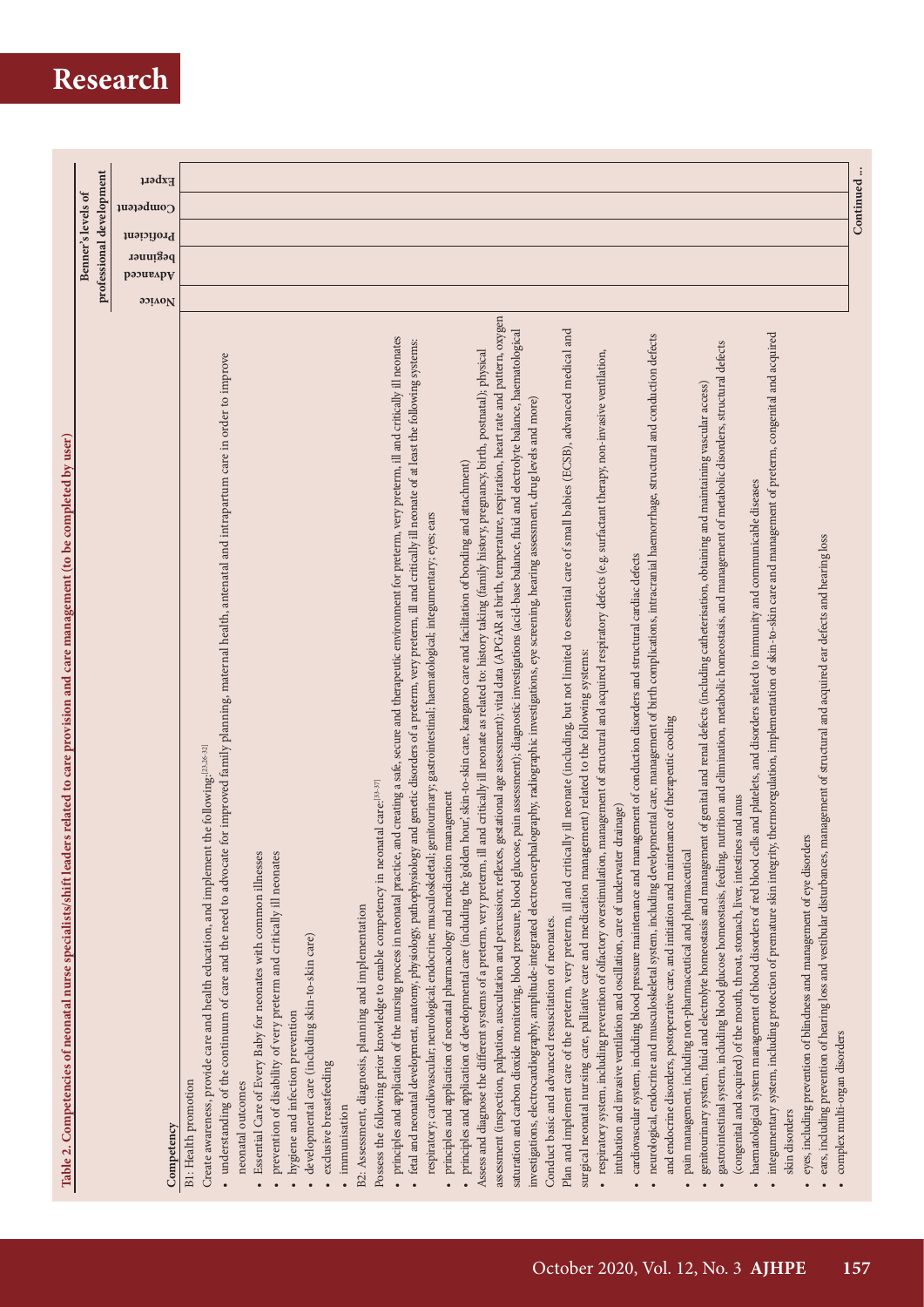# **Research**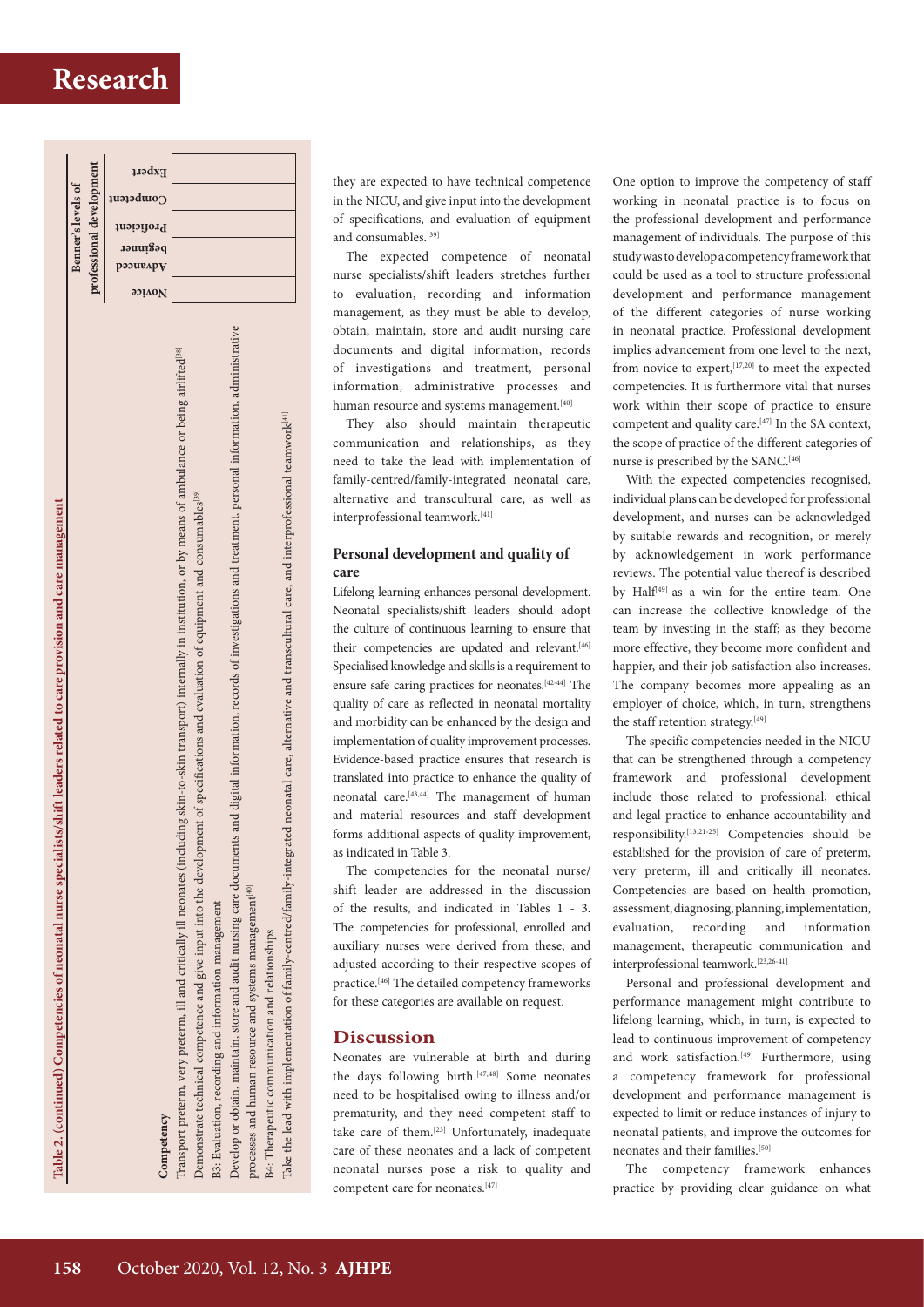# **Research**



they are expected to have technical competence in the NICU, and give input into the development of specifications, and evaluation of equipment and consumables.<sup>[39]</sup>

The expected competence of neonatal nurse specialists/shift leaders stretches further to evaluation, recording and information management, as they must be able to develop, obtain, maintain, store and audit nursing care documents and digital information, records of investigations and treatment, personal information, administrative processes and human resource and systems management.<sup>[40]</sup>

They also should maintain therapeutic communication and relationships, as they need to take the lead with implementation of family-centred/family-integrated neonatal care, alternative and transcultural care, as well as interprofessional teamwork.[41]

## **Personal development and quality of care**

Lifelong learning enhances personal development. Neonatal specialists/shift leaders should adopt the culture of continuous learning to ensure that their competencies are updated and relevant.<sup>[46]</sup> Specialised knowledge and skills is a requirement to ensure safe caring practices for neonates.[42-44] The quality of care as reflected in neonatal mortality and morbidity can be enhanced by the design and implementation of quality improvement processes. Evidence-based practice ensures that research is translated into practice to enhance the quality of neonatal care.<sup>[43,44]</sup> The management of human and material resources and staff development forms additional aspects of quality improvement, as indicated in Table 3.

The competencies for the neonatal nurse/ shift leader are addressed in the discussion of the results, and indicated in Tables 1 - 3. The competencies for professional, enrolled and auxiliary nurses were derived from these, and adjusted according to their respective scopes of practice.[46] The detailed competency frameworks for these categories are available on request.

## **Discussion**

Neonates are vulnerable at birth and during the days following birth.<sup>[47,48]</sup> Some neonates need to be hospitalised owing to illness and/or prematurity, and they need competent staff to take care of them.<sup>[23]</sup> Unfortunately, inadequate care of these neonates and a lack of competent neonatal nurses pose a risk to quality and competent care for neonates.<sup>[47]</sup>

One option to improve the competency of staff working in neonatal practice is to focus on the professional development and performance management of individuals. The purpose of this study was to develop a competency framework that could be used as a tool to structure professional development and performance management of the different categories of nurse working in neonatal practice. Professional development implies advancement from one level to the next, from novice to expert, [17,20] to meet the expected competencies. It is furthermore vital that nurses work within their scope of practice to ensure competent and quality care.[47] In the SA context, the scope of practice of the different categories of nurse is prescribed by the SANC.<sup>[46]</sup>

With the expected competencies recognised, individual plans can be developed for professional development, and nurses can be acknowledged by suitable rewards and recognition, or merely by acknowledgement in work performance reviews. The potential value thereof is described by Half<sup>[49]</sup> as a win for the entire team. One can increase the collective knowledge of the team by investing in the staff; as they become more effective, they become more confident and happier, and their job satisfaction also increases. The company becomes more appealing as an employer of choice, which, in turn, strengthens the staff retention strategy.<sup>[49]</sup>

The specific competencies needed in the NICU that can be strengthened through a competency framework and professional development include those related to professional, ethical and legal practice to enhance accountability and responsibility.[13,21-25] Competencies should be established for the provision of care of preterm, very preterm, ill and critically ill neonates. Competencies are based on health promotion, assessment, diagnosing, planning, implementation, evaluation, recording and information management, therapeutic communication and interprofessional teamwork.[23,26-41]

Personal and professional development and performance management might contribute to lifelong learning, which, in turn, is expected to lead to continuous improvement of competency and work satisfaction.<sup>[49]</sup> Furthermore, using a competency framework for professional development and performance management is expected to limit or reduce instances of injury to neonatal patients, and improve the outcomes for neonates and their families.[50]

The competency framework enhances practice by providing clear guidance on what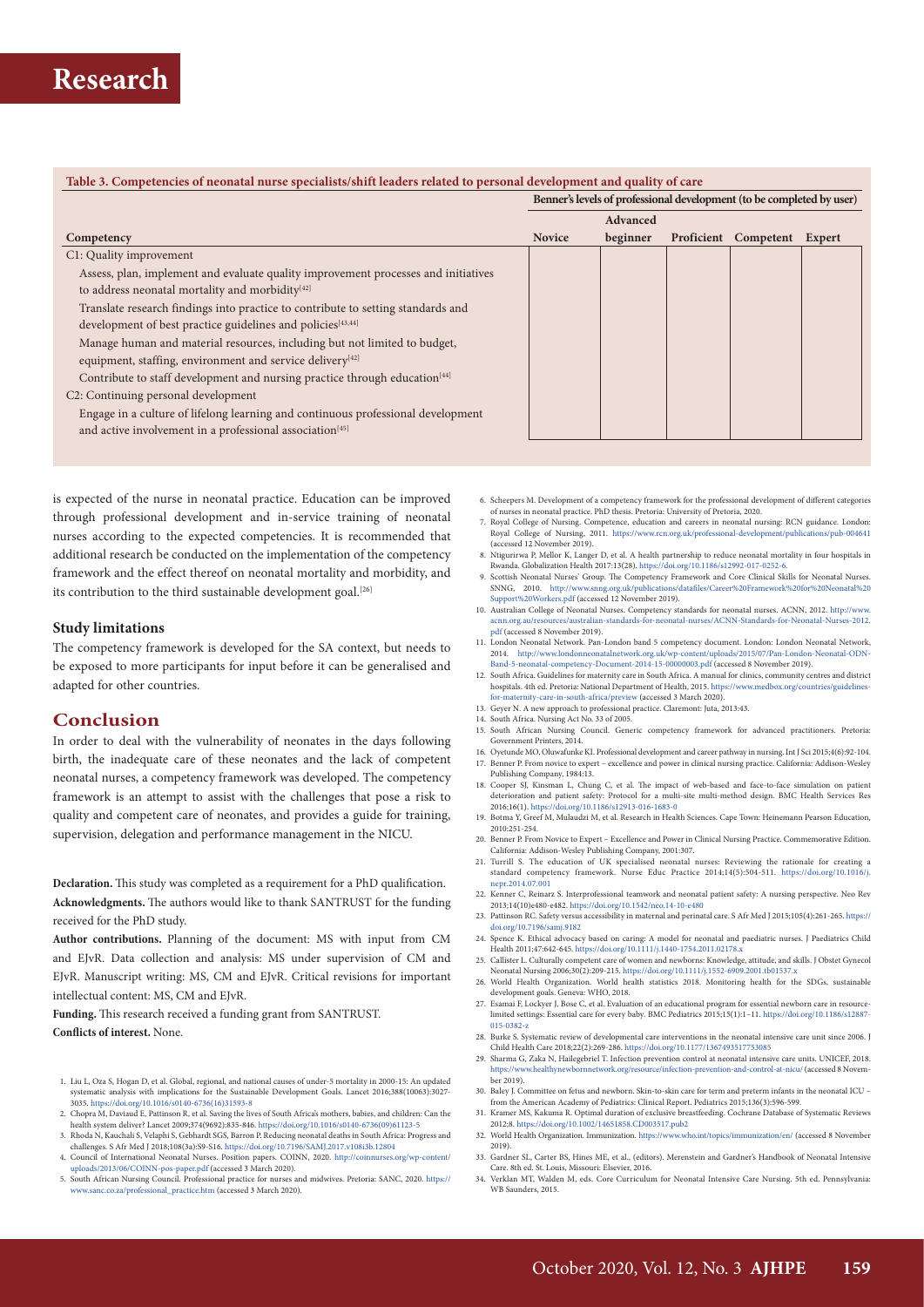#### **Table 3. Competencies of neonatal nurse specialists/shift leaders related to personal development and quality of care**

**Benner's levels of professional development (to be completed by user)**

|                                                                                        |               | Advanced |                             |  |
|----------------------------------------------------------------------------------------|---------------|----------|-----------------------------|--|
| Competency                                                                             | <b>Novice</b> | beginner | Proficient Competent Expert |  |
| C1: Quality improvement                                                                |               |          |                             |  |
| Assess, plan, implement and evaluate quality improvement processes and initiatives     |               |          |                             |  |
| to address neonatal mortality and morbidity[42]                                        |               |          |                             |  |
| Translate research findings into practice to contribute to setting standards and       |               |          |                             |  |
| development of best practice guidelines and policies <sup>[43,44]</sup>                |               |          |                             |  |
| Manage human and material resources, including but not limited to budget,              |               |          |                             |  |
| equipment, staffing, environment and service delivery[42]                              |               |          |                             |  |
| Contribute to staff development and nursing practice through education <sup>[44]</sup> |               |          |                             |  |
| C <sub>2</sub> : Continuing personal development                                       |               |          |                             |  |
| Engage in a culture of lifelong learning and continuous professional development       |               |          |                             |  |
| and active involvement in a professional association <sup>[45]</sup>                   |               |          |                             |  |
|                                                                                        |               |          |                             |  |

is expected of the nurse in neonatal practice. Education can be improved through professional development and in-service training of neonatal nurses according to the expected competencies. It is recommended that additional research be conducted on the implementation of the competency framework and the effect thereof on neonatal mortality and morbidity, and its contribution to the third sustainable development goal.<sup>[26]</sup>

#### **Study limitations**

The competency framework is developed for the SA context, but needs to be exposed to more participants for input before it can be generalised and adapted for other countries.

## **Conclusion**

In order to deal with the vulnerability of neonates in the days following birth, the inadequate care of these neonates and the lack of competent neonatal nurses, a competency framework was developed. The competency framework is an attempt to assist with the challenges that pose a risk to quality and competent care of neonates, and provides a guide for training, supervision, delegation and performance management in the NICU.

**Declaration.** This study was completed as a requirement for a PhD qualification. **Acknowledgments.** The authors would like to thank SANTRUST for the funding received for the PhD study.

**Author contributions.** Planning of the document: MS with input from CM and EJvR. Data collection and analysis: MS under supervision of CM and EJvR. Manuscript writing: MS, CM and EJvR. Critical revisions for important intellectual content: MS, CM and EJvR.

**Funding.** This research received a funding grant from SANTRUST. **Conflicts of interest.** None.

- 1. Liu L, Oza S, Hogan D, et al. Global, regional, and national causes of under-5 mortality in 2000-15: An updated systematic analysis with implications for the Sustainable Development Goals. Lancet 2016;388(10063):3027- 3035. [https://doi.org/10.1016/s0140-6736\(16\)31593-8](https://doi.org/10.1016/s0140-6736(16)31593-8)
- 2. Chopra M, Daviaud E, Pattinson R, et al. Saving the lives of South Africa's mothers, babies, and children: Can the health system deliver? Lancet 2009;374(9692):835-846. [https://doi.org/10.1016/s0140-6736\(09\)61123-5](https://doi.org/10.1016/s0140-6736(09)61123-5)
- 3. Rhoda N, Kauchali S, Velaphi S, Gebhardt SGS, Barron P. Reducing neonatal deaths in South Africa: Progress and challenges. S Afr Med J 2018;108(3a):S9-S16. <https://doi.org/10.7196/SAMJ.2017.v108i3b.12804>
- 4. Council of International Neonatal Nurses. Position papers. COINN, 2020. [http://coinnurses.org/wp-content/](http://coinnurses.org/wp-content/uploads/2013/06/COINN-pos-paper.pdf) [uploads/2013/06/COINN-pos-paper.pdf](http://coinnurses.org/wp-content/uploads/2013/06/COINN-pos-paper.pdf) (accessed 3 March 2020).
- 5. South African Nursing Council. Professional practice for nurses and midwives. Pretoria: SANC, 2020. [https://](https://www.sanc.co.za/professional_practice.htm) w.sanc.co.za/professional\_practice.htm (accessed 3 March 2020).
- 6. Scheepers M. Development of a competency framework for the professional development of different categories of nurses in neonatal practice. PhD thesis. Pretoria: University of Pretoria, 2020.
- 7. Royal College of Nursing. Competence, education and careers in neonatal nursing: RCN guidance. London: Royal College of Nursing, 2011. <https://www.rcn.org.uk/professional-development/publications/pub-004641> (accessed 12 November 2019).
- 8. Ntigurirwa P, Mellor K, Langer D, et al. A health partnership to reduce neonatal mortality in four hospitals in Rwanda. Globalization Health 2017:13(28). [https://doi.org/](https://doi.org/10.1186/s12992-017-0252-6)10.1186/s12992-017-0252-6.
- 9. Scottish Neonatal Nurses' Group. The Competency Framework and Core Clinical Skills for Neonatal Nurses. s/datafiles/Career%20Framework%20for%20Neonatal%20 [Support%20Workers.pdf](http://www.snng.org.uk/publications/datafiles/Career Framework for Neonatal Support Workers.pdf) (accessed 12 November 2019).
- 10. Australian College of Neonatal Nurses. Competency standards for neonatal nurses. ACNN, 2012. [http://www.](http://www.acnn.org.au/resources/australian-standards-for-neonatal-nurses/ACNN-Standards-for-Neonatal-Nurses-2012.pdf) [acnn.org.au/resources/australian-standards-for-neonatal-nurses/ACNN-Standards-for-Neonatal-Nurses-2012.](http://www.acnn.org.au/resources/australian-standards-for-neonatal-nurses/ACNN-Standards-for-Neonatal-Nurses-2012.pdf) [pdf](http://www.acnn.org.au/resources/australian-standards-for-neonatal-nurses/ACNN-Standards-for-Neonatal-Nurses-2012.pdf) (accessed 8 November 2019).
- 11. London Neonatal Network. Pan-London band 5 competency document. London: London Neonatal Network,<br>2014. http://www.londonneonatalnetwork.org.uk/wp-content/uploads/2015/07/Pan-London-Neonatal-ODN-<br>Band-5-neonatal-compete
- 12. South Africa. Guidelines for maternity care in South Africa. A manual for clinics, community centres and district hospitals. 4th ed. Pretoria: National Department of Health, 2015. [https://www.medbox.org/countries/guidelines](https://www.medbox.org/countries/guidelines-for-maternity-care-in-south-africa/preview)[for-maternity-care-in-south-africa/preview](https://www.medbox.org/countries/guidelines-for-maternity-care-in-south-africa/preview) (accessed 3 March 2020).
- 13. Geyer N. A new approach to professional practice. Claremont: Juta, 2013:43. 14. South Africa. Nursing Act No. 33 of 2005.
- 
- 15. South African Nursing Council. Generic competency framework for advanced practitioners. Pretoria: Government Printers, 2014
- 16. Oyetunde MO, Oluwafunke KI. Professional development and career pathway in nursing. Int J Sci 2015;4(6):92-104.<br>17. Benner P. From novice to expert excellence and power in clinical nursing practice. California: Add Publishing Company, 1984:13.
- 18. Cooper SJ, Kinsman L, Chung C, et al. The impact of web-based and face-to-face simulation on patient deterioration and patient safety: Protocol for a multi-site multi-method design. BMC Health Services Res 2016;16(1).<https://doi.org/10.1186/s12913-016-1683-0>
- 19. Botma Y, Greef M, Mulaudzi M, et al. Research in Health Sciences. Cape Town: Heinemann Pearson Education, 2010:251-254.
- 20. Benner P. From Novice to Expert Excellence and Power in Clinical Nursing Practice. Commemorative Edition. California: Addison-Wesley Publishing Company, 2001:307.
- 21. Turrill S. The education of UK specialised neonatal nurses: Reviewing the rationale for creating a standard competency framework. Nurse Educ Practice 2014;14(5):504-511. [https://doi.org/10.1016/j.](https://doi.org/10.1016/j.nepr.2014.07.001) [nepr.2014.07.001](https://doi.org/10.1016/j.nepr.2014.07.001)
- 22. Kenner C, Reinarz S. Interprofessional teamwork and neonatal patient safety: A nursing perspective. Neo Rev 2013;14(10)e480-e482.<https://doi.org/10.1542/neo.14-10-e480>
- 23. Pattinson RC. Safety versus accessibility in maternal and perinatal care. S Afr Med J 2015;105(4):261-265. [https://](https://doi.org/10.7196/samj.9182) [doi.org/10.7196/samj.9182](https://doi.org/10.7196/samj.9182)
- 24. Spence K. Ethical advocacy based on caring: A model for neonatal and paediatric nurses. J Paediatrics Child Health 2011;47:642-645. <https://doi.org/10.1111/j.1440-1754.2011.02178.x>
- 25. Callister L. Culturally competent care of women and newborns: Knowledge, attitude, and skills. J Obstet Gynecol Neonatal Nursing 2006;30(2):209-215. https://doi.org/10.1111/j.1552-6909.2001.tb01537.
- 26. World Health Organization. World health statistics 2018. Monitoring health for the SDGs, sustainable development goals. Geneva: WHO, 2018.
- 27. Esamai F, Lockyer J, Bose C, et al. Evaluation of an educational program for essential newborn care in resource<br>limited settings: Essential care for every baby. BMC Pediatrics 2015;15(1):1–11. https://doi.org/10.1186/s [015-0382-z](https://www.researchgate.net/deref/http%3A%2F%2Fdx.doi.org%2F10.1111%2Fj.1552-6909.2001.tb01537.x?_sg%5B0%5D=UjngLIG86ax_JDxmh0kafLU-jwvcmwp9VQVnRHt4IuN3PweekJhHQCZPxQaDf3CkL8DXt6tuwIk3yoGb3R29FLPkdg.d00o-yrNbCM35l7bRvkMHcdcLpxLSABCLG-SaIyqbnArd892OcN8ux788F07qS0ve0HU1aPvyXtD-1CoZyJaIA)
- 28. Burke S. Systematic review of developmental care interventions in the neonatal intensive care unit since 2006. J Child Health Care 2018;22(2):269-286. [https://doi.org/10.1177/1367493517753085](https://doi.org/10.1177/1367493517753085.) 29. Sharma G, Zaka N, Hailegebriel T. Infection prevention control at neonatal intensive care units. UNICEF, 2018.
- <https://www.healthynewbornnetwork.org/resource/infection-prevention-and-control-at-nicu/> (accessed 8 Novem ber 2019).
- 30. Baley J. Committee on fetus and newborn. Skin-to-skin care for term and preterm infants in the neonatal ICU from the American Academy of Pediatrics: Clinical Report. Pediatrics 2015;136(3):596-599.
- 31. Kramer MS, Kakuma R. Optimal duration of exclusive breastfeeding. Cochrane Database of Systematic Reviews 2012;8.<https://doi.org/10.1002/14651858.CD003517.pub2> 32. World Health Organization. Immunization. <https://www.who.int/topics/immunization/en/> (accessed 8 November
- 2019). 33. Gardner SL, Carter BS, Hines ME, et al., (editors). Merenstein and Gardner's Handbook of Neonatal Intensive
- Care. 8th ed. St. Louis, Missouri: Elsevier, 2016. 34. Verklan MT, Walden M, eds. Core Curriculum for Neonatal Intensive Care Nursing. 5th ed. Pennsylvania: WB Saunders, 2015.